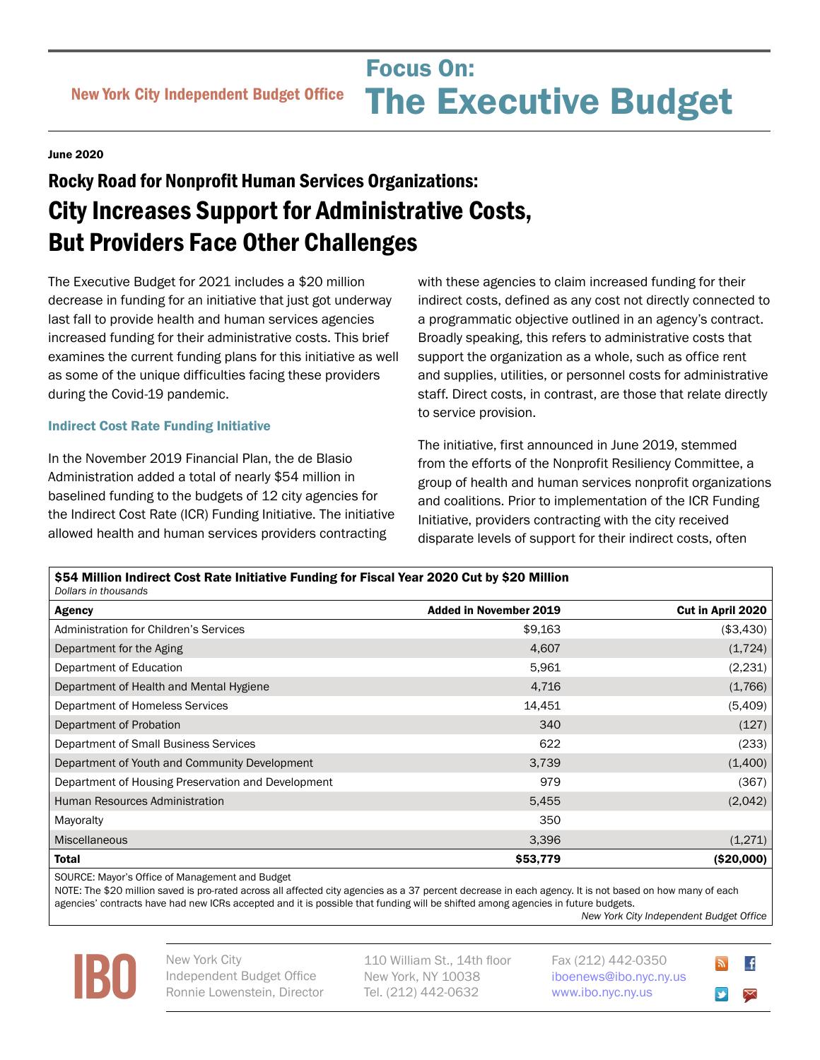Focus On:<br>
New York City Independent Budget Office **The Executive Bud** Focus On: The Executive Budget

## June 2020

# Rocky Road for Nonprofit Human Services Organizations: City Increases Support for Administrative Costs, But Providers Face Other Challenges

The Executive Budget for 2021 includes a \$20 million decrease in funding for an initiative that just got underway last fall to provide health and human services agencies increased funding for their administrative costs. This brief examines the current funding plans for this initiative as well as some of the unique difficulties facing these providers during the Covid-19 pandemic.

### Indirect Cost Rate Funding Initiative

In the November 2019 Financial Plan, the de Blasio Administration added a total of nearly \$54 million in baselined funding to the budgets of 12 city agencies for the Indirect Cost Rate (ICR) Funding Initiative. The initiative allowed health and human services providers contracting

with these agencies to claim increased funding for their indirect costs, defined as any cost not directly connected to a programmatic objective outlined in an agency's contract. Broadly speaking, this refers to administrative costs that support the organization as a whole, such as office rent and supplies, utilities, or personnel costs for administrative staff. Direct costs, in contrast, are those that relate directly to service provision.

The initiative, first announced in June 2019, stemmed from the efforts of the Nonprofit Resiliency Committee, a group of health and human services nonprofit organizations and coalitions. Prior to implementation of the ICR Funding Initiative, providers contracting with the city received disparate levels of support for their indirect costs, often

| \$54 Million Indirect Cost Rate Initiative Funding for Fiscal Year 2020 Cut by \$20 Million<br>Dollars in thousands |                               |                   |
|---------------------------------------------------------------------------------------------------------------------|-------------------------------|-------------------|
| <b>Agency</b>                                                                                                       | <b>Added in November 2019</b> | Cut in April 2020 |
| Administration for Children's Services                                                                              | \$9,163                       | (\$3,430)         |
| Department for the Aging                                                                                            | 4,607                         | (1,724)           |
| Department of Education                                                                                             | 5,961                         | (2,231)           |
| Department of Health and Mental Hygiene                                                                             | 4,716                         | (1,766)           |
| Department of Homeless Services                                                                                     | 14,451                        | (5,409)           |
| Department of Probation                                                                                             | 340                           | (127)             |
| Department of Small Business Services                                                                               | 622                           | (233)             |
| Department of Youth and Community Development                                                                       | 3,739                         | (1,400)           |
| Department of Housing Preservation and Development                                                                  | 979                           | (367)             |
| Human Resources Administration                                                                                      | 5,455                         | (2,042)           |
| Mayoralty                                                                                                           | 350                           |                   |
| <b>Miscellaneous</b>                                                                                                | 3,396                         | (1,271)           |
| <b>Total</b>                                                                                                        | \$53,779                      | ( \$20,000]       |

SOURCE: Mayor's Office of Management and Budget

NOTE: The \$20 million saved is pro-rated across all affected city agencies as a 37 percent decrease in each agency. It is not based on how many of each agencies' contracts have had new ICRs accepted and it is possible that funding will be shifted among agencies in future budgets.

*New York City Independent Budget Office*

 $\overline{f}$ 



Independent Budget Office Ronnie Lowenstein, Director 110 William St., 14th floor New York, NY 10038 Tel. (212) 442-0632

Fax (212) 442-0350 [iboenews@ibo.nyc.ny.us](mailto:iboenews%40ibo.nyc.ny.us?subject=)  <www.ibo.nyc.ny.us>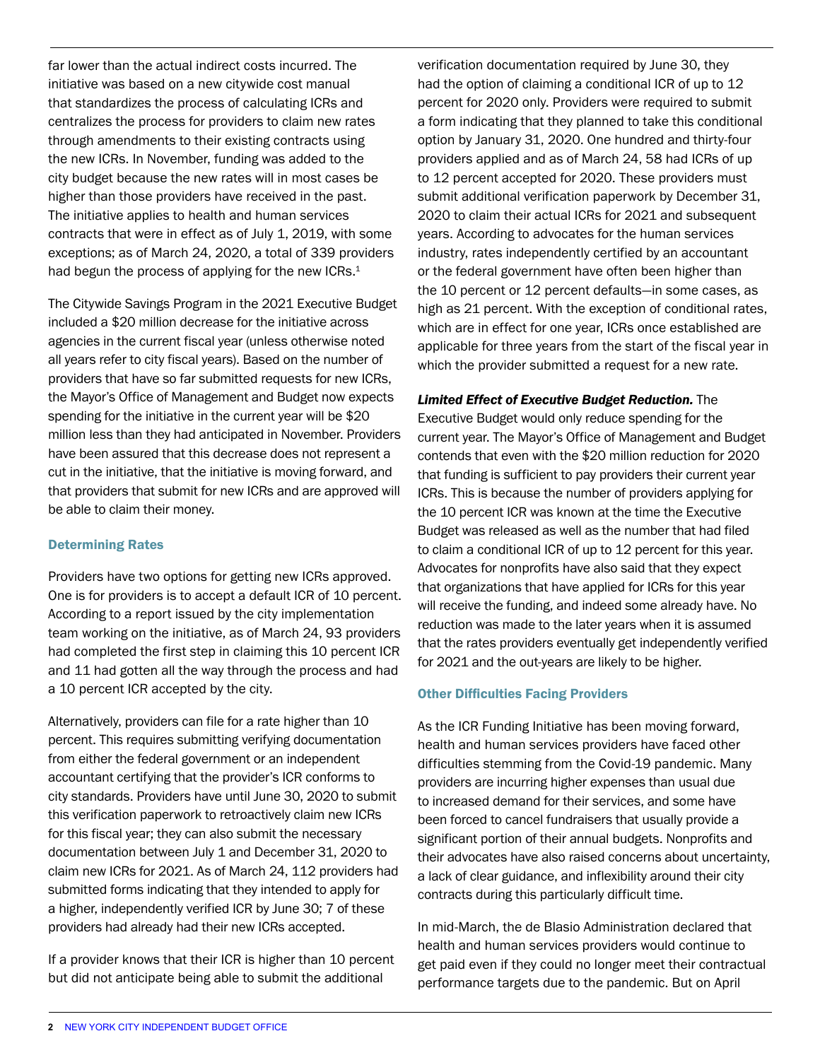far lower than the actual indirect costs incurred. The initiative was based on a new citywide cost manual that standardizes the process of calculating ICRs and centralizes the process for providers to claim new rates through amendments to their existing contracts using the new ICRs. In November, funding was added to the city budget because the new rates will in most cases be higher than those providers have received in the past. The initiative applies to health and human services contracts that were in effect as of July 1, 2019, with some exceptions; as of March 24, 2020, a total of 339 providers had begun the process of applying for the new ICRs.<sup>1</sup>

The Citywide Savings Program in the 2021 Executive Budget included a \$20 million decrease for the initiative across agencies in the current fiscal year (unless otherwise noted all years refer to city fiscal years). Based on the number of providers that have so far submitted requests for new ICRs, the Mayor's Office of Management and Budget now expects spending for the initiative in the current year will be \$20 million less than they had anticipated in November. Providers have been assured that this decrease does not represent a cut in the initiative, that the initiative is moving forward, and that providers that submit for new ICRs and are approved will be able to claim their money.

## Determining Rates

Providers have two options for getting new ICRs approved. One is for providers is to accept a default ICR of 10 percent. According to a [report](https://www1.nyc.gov/assets/nonprofits/downloads/pdf/ICR_Fund_Initiative_March2020Report.pdf) issued by the city implementation team working on the initiative, as of March 24, 93 providers had completed the first step in claiming this 10 percent ICR and 11 had gotten all the way through the process and had a 10 percent ICR accepted by the city.

Alternatively, providers can file for a rate higher than 10 percent. This requires submitting verifying documentation from either the federal government or an independent accountant certifying that the provider's ICR conforms to city standards. Providers have until June 30, 2020 to submit this verification paperwork to retroactively claim new ICRs for this fiscal year; they can also submit the necessary documentation between July 1 and December 31, 2020 to claim new ICRs for 2021. As of March 24, 112 providers had submitted forms indicating that they intended to apply for a higher, independently verified ICR by June 30; 7 of these providers had already had their new ICRs accepted.

If a provider knows that their ICR is higher than 10 percent but did not anticipate being able to submit the additional

verification documentation required by June 30, they had the option of claiming a conditional ICR of up to 12 percent for 2020 only. Providers were required to submit a form indicating that they planned to take this conditional option by January 31, 2020. One hundred and thirty-four providers applied and as of March 24, 58 had ICRs of up to 12 percent accepted for 2020. These providers must submit additional verification paperwork by December 31, 2020 to claim their actual ICRs for 2021 and subsequent years. According to advocates for the human services industry, rates independently certified by an accountant or the federal government have often been higher than the 10 percent or 12 percent defaults—in some cases, as high as 21 percent. With the exception of conditional rates, which are in effect for one year, ICRs once established are applicable for three years from the start of the fiscal year in which the provider submitted a request for a new rate.

## *Limited Effect of Executive Budget Reduction.* The

Executive Budget would only reduce spending for the current year. The Mayor's Office of Management and Budget contends that even with the \$20 million reduction for 2020 that funding is sufficient to pay providers their current year ICRs. This is because the number of providers applying for the 10 percent ICR was known at the time the Executive Budget was released as well as the number that had filed to claim a conditional ICR of up to 12 percent for this year. Advocates for nonprofits have also said that they expect that organizations that have applied for ICRs for this year will receive the funding, and indeed some already have. No reduction was made to the later years when it is assumed that the rates providers eventually get independently verified for 2021 and the out-years are likely to be higher.

# Other Difficulties Facing Providers

As the ICR Funding Initiative has been moving forward, health and human services providers have faced other difficulties stemming from the Covid-19 pandemic. Many providers are incurring higher expenses than usual due to increased demand for their services, and some have been forced to cancel fundraisers that usually provide a significant portion of their annual budgets. Nonprofits and their advocates have also raised concerns about uncertainty, a lack of clear guidance, and inflexibility around their city contracts during this particularly difficult time.

In mid-March, the de Blasio Administration declared that health and human services providers would continue to get paid even if they could no longer meet their contractual performance targets due to the pandemic. But on April